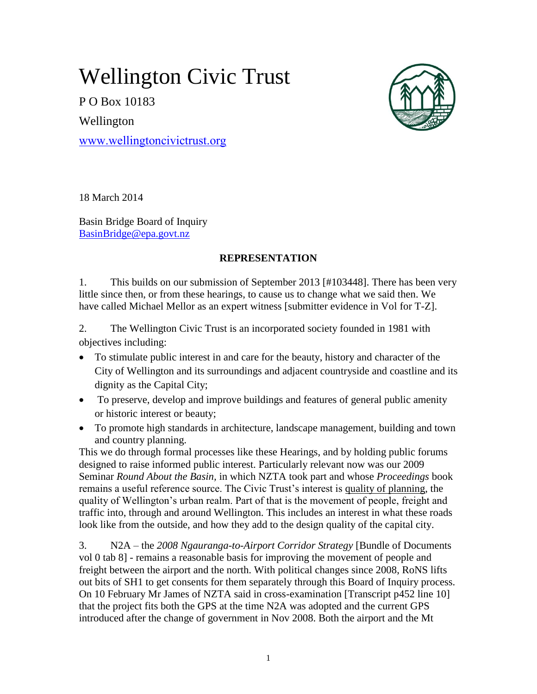# Wellington Civic Trust

P O Box 10183 Wellington

[www.wellingtoncivictrust.org](http://www.wellingtoncivictrust.org/)



18 March 2014

Basin Bridge Board of Inquiry [BasinBridge@epa.govt.nz](mailto:BasinBridge@epa.govt.nz)

## **REPRESENTATION**

1. This builds on our submission of September 2013 [#103448]. There has been very little since then, or from these hearings, to cause us to change what we said then. We have called Michael Mellor as an expert witness [submitter evidence in Vol for T-Z].

2. The Wellington Civic Trust is an incorporated society founded in 1981 with objectives including:

- To stimulate public interest in and care for the beauty, history and character of the City of Wellington and its surroundings and adjacent countryside and coastline and its dignity as the Capital City;
- To preserve, develop and improve buildings and features of general public amenity or historic interest or beauty;
- To promote high standards in architecture, landscape management, building and town and country planning.

This we do through formal processes like these Hearings, and by holding public forums designed to raise informed public interest. Particularly relevant now was our 2009 Seminar *Round About the Basin,* in which NZTA took part and whose *Proceedings* book remains a useful reference source. The Civic Trust's interest is quality of planning, the quality of Wellington's urban realm. Part of that is the movement of people, freight and traffic into, through and around Wellington. This includes an interest in what these roads look like from the outside, and how they add to the design quality of the capital city.

3. N2A – the *2008 Ngauranga-to-Airport Corridor Strategy* [Bundle of Documents vol 0 tab 8] - remains a reasonable basis for improving the movement of people and freight between the airport and the north. With political changes since 2008, RoNS lifts out bits of SH1 to get consents for them separately through this Board of Inquiry process. On 10 February Mr James of NZTA said in cross-examination [Transcript p452 line 10] that the project fits both the GPS at the time N2A was adopted and the current GPS introduced after the change of government in Nov 2008. Both the airport and the Mt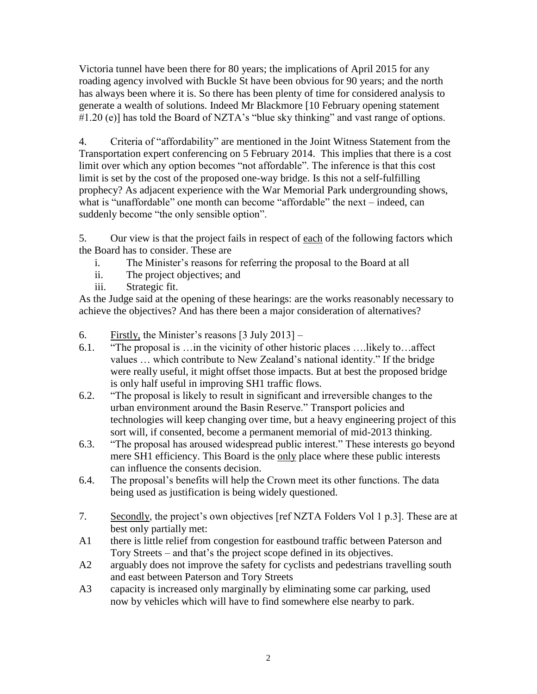Victoria tunnel have been there for 80 years; the implications of April 2015 for any roading agency involved with Buckle St have been obvious for 90 years; and the north has always been where it is. So there has been plenty of time for considered analysis to generate a wealth of solutions. Indeed Mr Blackmore [10 February opening statement #1.20 (e)] has told the Board of NZTA's "blue sky thinking" and vast range of options.

4. Criteria of "affordability" are mentioned in the Joint Witness Statement from the Transportation expert conferencing on 5 February 2014. This implies that there is a cost limit over which any option becomes "not affordable". The inference is that this cost limit is set by the cost of the proposed one-way bridge. Is this not a self-fulfilling prophecy? As adjacent experience with the War Memorial Park undergrounding shows, what is "unaffordable" one month can become "affordable" the next – indeed, can suddenly become "the only sensible option".

5. Our view is that the project fails in respect of each of the following factors which the Board has to consider. These are

- i. The Minister's reasons for referring the proposal to the Board at all
- ii. The project objectives; and
- iii. Strategic fit.

As the Judge said at the opening of these hearings: are the works reasonably necessary to achieve the objectives? And has there been a major consideration of alternatives?

- 6. Firstly, the Minister's reasons  $\lceil 3 \text{ July } 2013 \rceil -$
- 6.1. "The proposal is …in the vicinity of other historic places ….likely to…affect values … which contribute to New Zealand's national identity." If the bridge were really useful, it might offset those impacts. But at best the proposed bridge is only half useful in improving SH1 traffic flows.
- 6.2. "The proposal is likely to result in significant and irreversible changes to the urban environment around the Basin Reserve." Transport policies and technologies will keep changing over time, but a heavy engineering project of this sort will, if consented, become a permanent memorial of mid-2013 thinking.
- 6.3. "The proposal has aroused widespread public interest." These interests go beyond mere SH1 efficiency. This Board is the only place where these public interests can influence the consents decision.
- 6.4. The proposal's benefits will help the Crown meet its other functions. The data being used as justification is being widely questioned.
- 7. Secondly, the project's own objectives [ref NZTA Folders Vol 1 p.3]. These are at best only partially met:
- A1 there is little relief from congestion for eastbound traffic between Paterson and Tory Streets – and that's the project scope defined in its objectives.
- A2 arguably does not improve the safety for cyclists and pedestrians travelling south and east between Paterson and Tory Streets
- A3 capacity is increased only marginally by eliminating some car parking, used now by vehicles which will have to find somewhere else nearby to park.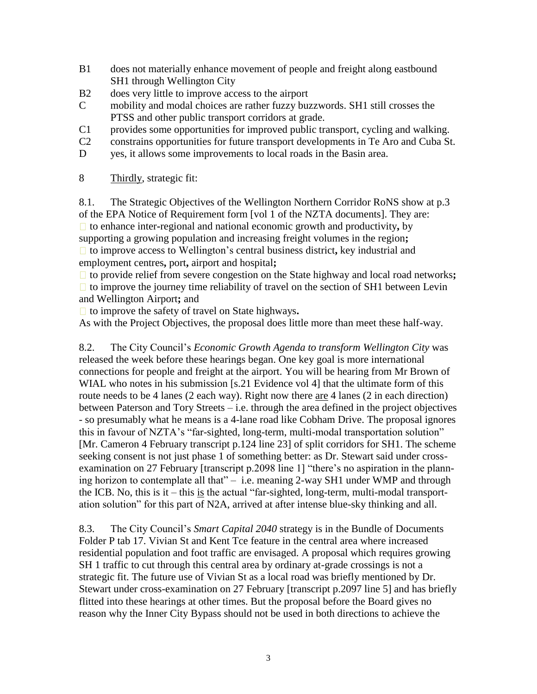- B1 does not materially enhance movement of people and freight along eastbound SH1 through Wellington City
- B2 does very little to improve access to the airport
- C mobility and modal choices are rather fuzzy buzzwords. SH1 still crosses the PTSS and other public transport corridors at grade.
- C1 provides some opportunities for improved public transport, cycling and walking.
- C2 constrains opportunities for future transport developments in Te Aro and Cuba St.
- D yes, it allows some improvements to local roads in the Basin area.
- 8 Thirdly, strategic fit:

8.1. The Strategic Objectives of the Wellington Northern Corridor RoNS show at p.3 of the EPA Notice of Requirement form [vol 1 of the NZTA documents]. They are: □ to enhance inter-regional and national economic growth and productivity, by supporting a growing population and increasing freight volumes in the region**;** □ to improve access to Wellington's central business district, key industrial and employment centres**,** port**,** airport and hospital**;**

□ to provide relief from severe congestion on the State highway and local road networks**;**  $\Box$  to improve the journey time reliability of travel on the section of SH1 between Levin and Wellington Airport**;** and

to improve the safety of travel on State highways**.**

As with the Project Objectives, the proposal does little more than meet these half-way.

8.2. The City Council's *Economic Growth Agenda to transform Wellington City* was released the week before these hearings began. One key goal is more international connections for people and freight at the airport. You will be hearing from Mr Brown of WIAL who notes in his submission [s.21 Evidence vol 4] that the ultimate form of this route needs to be 4 lanes (2 each way). Right now there are 4 lanes (2 in each direction) between Paterson and Tory Streets – i.e. through the area defined in the project objectives - so presumably what he means is a 4-lane road like Cobham Drive. The proposal ignores this in favour of NZTA's "far-sighted, long-term, multi-modal transportation solution" [Mr. Cameron 4 February transcript p.124 line 23] of split corridors for SH1. The scheme seeking consent is not just phase 1 of something better: as Dr. Stewart said under crossexamination on 27 February [transcript p.2098 line 1] "there's no aspiration in the planning horizon to contemplate all that" – i.e. meaning 2-way SH1 under WMP and through the ICB. No, this is it – this is the actual "far-sighted, long-term, multi-modal transportation solution" for this part of N2A, arrived at after intense blue-sky thinking and all.

8.3. The City Council's *Smart Capital 2040* strategy is in the Bundle of Documents Folder P tab 17. Vivian St and Kent Tce feature in the central area where increased residential population and foot traffic are envisaged. A proposal which requires growing SH 1 traffic to cut through this central area by ordinary at-grade crossings is not a strategic fit. The future use of Vivian St as a local road was briefly mentioned by Dr. Stewart under cross-examination on 27 February [transcript p.2097 line 5] and has briefly flitted into these hearings at other times. But the proposal before the Board gives no reason why the Inner City Bypass should not be used in both directions to achieve the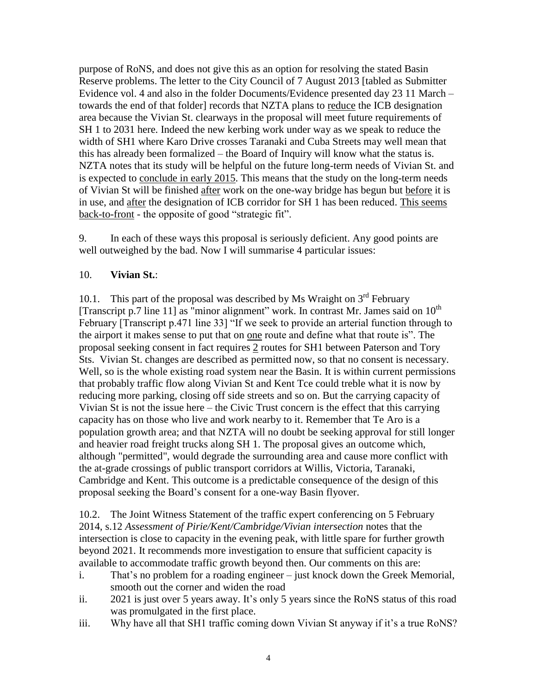purpose of RoNS, and does not give this as an option for resolving the stated Basin Reserve problems. The letter to the City Council of 7 August 2013 [tabled as Submitter Evidence vol. 4 and also in the folder Documents/Evidence presented day 23 11 March – towards the end of that folder] records that NZTA plans to reduce the ICB designation area because the Vivian St. clearways in the proposal will meet future requirements of SH 1 to 2031 here. Indeed the new kerbing work under way as we speak to reduce the width of SH1 where Karo Drive crosses Taranaki and Cuba Streets may well mean that this has already been formalized – the Board of Inquiry will know what the status is. NZTA notes that its study will be helpful on the future long-term needs of Vivian St. and is expected to conclude in early 2015. This means that the study on the long-term needs of Vivian St will be finished after work on the one-way bridge has begun but before it is in use, and after the designation of ICB corridor for SH 1 has been reduced. This seems back-to-front - the opposite of good "strategic fit".

9. In each of these ways this proposal is seriously deficient. Any good points are well outweighed by the bad. Now I will summarise 4 particular issues:

### 10. **Vivian St.**:

10.1. This part of the proposal was described by Ms Wraight on  $3<sup>rd</sup>$  February [Transcript p.7 line 11] as "minor alignment" work. In contrast Mr. James said on  $10^{th}$ February [Transcript p.471 line 33] "If we seek to provide an arterial function through to the airport it makes sense to put that on one route and define what that route is". The proposal seeking consent in fact requires 2 routes for SH1 between Paterson and Tory Sts. Vivian St. changes are described as permitted now, so that no consent is necessary. Well, so is the whole existing road system near the Basin. It is within current permissions that probably traffic flow along Vivian St and Kent Tce could treble what it is now by reducing more parking, closing off side streets and so on. But the carrying capacity of Vivian St is not the issue here – the Civic Trust concern is the effect that this carrying capacity has on those who live and work nearby to it. Remember that Te Aro is a population growth area; and that NZTA will no doubt be seeking approval for still longer and heavier road freight trucks along SH 1. The proposal gives an outcome which, although "permitted", would degrade the surrounding area and cause more conflict with the at-grade crossings of public transport corridors at Willis, Victoria, Taranaki, Cambridge and Kent. This outcome is a predictable consequence of the design of this proposal seeking the Board's consent for a one-way Basin flyover.

10.2. The Joint Witness Statement of the traffic expert conferencing on 5 February 2014, s.12 *Assessment of Pirie/Kent/Cambridge/Vivian intersection* notes that the intersection is close to capacity in the evening peak, with little spare for further growth beyond 2021. It recommends more investigation to ensure that sufficient capacity is available to accommodate traffic growth beyond then. Our comments on this are:

- i. That's no problem for a roading engineer just knock down the Greek Memorial, smooth out the corner and widen the road
- ii. 2021 is just over 5 years away. It's only 5 years since the RoNS status of this road was promulgated in the first place.
- iii. Why have all that SH1 traffic coming down Vivian St anyway if it's a true RoNS?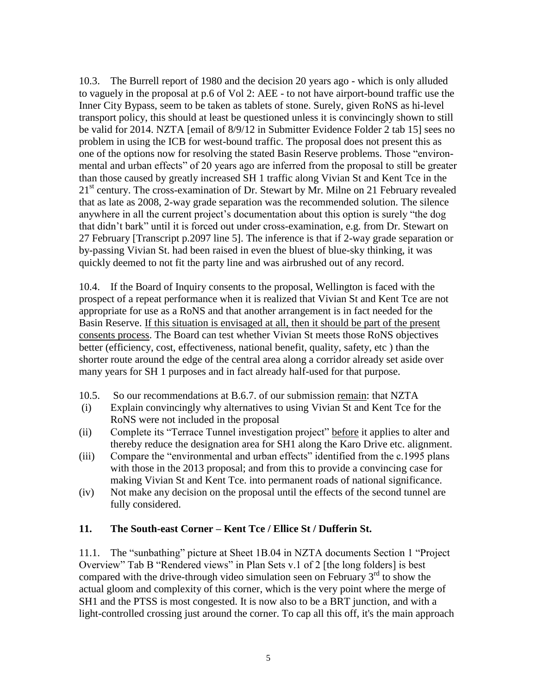10.3. The Burrell report of 1980 and the decision 20 years ago - which is only alluded to vaguely in the proposal at p.6 of Vol 2: AEE - to not have airport-bound traffic use the Inner City Bypass, seem to be taken as tablets of stone. Surely, given RoNS as hi-level transport policy, this should at least be questioned unless it is convincingly shown to still be valid for 2014. NZTA [email of 8/9/12 in Submitter Evidence Folder 2 tab 15] sees no problem in using the ICB for west-bound traffic. The proposal does not present this as one of the options now for resolving the stated Basin Reserve problems. Those "environmental and urban effects" of 20 years ago are inferred from the proposal to still be greater than those caused by greatly increased SH 1 traffic along Vivian St and Kent Tce in the 21<sup>st</sup> century. The cross-examination of Dr. Stewart by Mr. Milne on 21 February revealed that as late as 2008, 2-way grade separation was the recommended solution. The silence anywhere in all the current project's documentation about this option is surely "the dog that didn't bark" until it is forced out under cross-examination, e.g. from Dr. Stewart on 27 February [Transcript p.2097 line 5]. The inference is that if 2-way grade separation or by-passing Vivian St. had been raised in even the bluest of blue-sky thinking, it was quickly deemed to not fit the party line and was airbrushed out of any record.

10.4. If the Board of Inquiry consents to the proposal, Wellington is faced with the prospect of a repeat performance when it is realized that Vivian St and Kent Tce are not appropriate for use as a RoNS and that another arrangement is in fact needed for the Basin Reserve. If this situation is envisaged at all, then it should be part of the present consents process. The Board can test whether Vivian St meets those RoNS objectives better (efficiency, cost, effectiveness, national benefit, quality, safety, etc ) than the shorter route around the edge of the central area along a corridor already set aside over many years for SH 1 purposes and in fact already half-used for that purpose.

- 10.5. So our recommendations at B.6.7. of our submission remain: that NZTA
- (i) Explain convincingly why alternatives to using Vivian St and Kent Tce for the RoNS were not included in the proposal
- (ii) Complete its "Terrace Tunnel investigation project" before it applies to alter and thereby reduce the designation area for SH1 along the Karo Drive etc. alignment.
- (iii) Compare the "environmental and urban effects" identified from the c.1995 plans with those in the 2013 proposal; and from this to provide a convincing case for making Vivian St and Kent Tce. into permanent roads of national significance.
- (iv) Not make any decision on the proposal until the effects of the second tunnel are fully considered.

#### **11. The South-east Corner – Kent Tce / Ellice St / Dufferin St.**

11.1. The "sunbathing" picture at Sheet 1B.04 in NZTA documents Section 1 "Project Overview" Tab B "Rendered views" in Plan Sets v.1 of 2 [the long folders] is best compared with the drive-through video simulation seen on February  $3<sup>rd</sup>$  to show the actual gloom and complexity of this corner, which is the very point where the merge of SH1 and the PTSS is most congested. It is now also to be a BRT junction, and with a light-controlled crossing just around the corner. To cap all this off, it's the main approach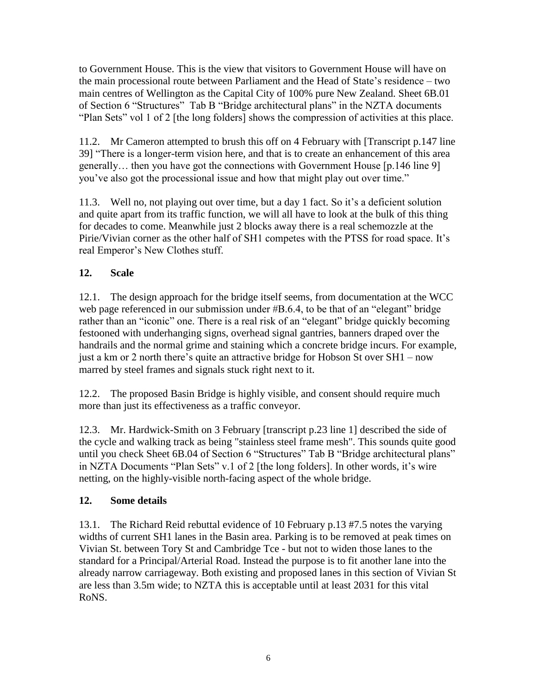to Government House. This is the view that visitors to Government House will have on the main processional route between Parliament and the Head of State's residence – two main centres of Wellington as the Capital City of 100% pure New Zealand. Sheet 6B.01 of Section 6 "Structures" Tab B "Bridge architectural plans" in the NZTA documents "Plan Sets" vol 1 of 2 [the long folders] shows the compression of activities at this place.

11.2. Mr Cameron attempted to brush this off on 4 February with [Transcript p.147 line 39] "There is a longer-term vision here, and that is to create an enhancement of this area generally… then you have got the connections with Government House [p.146 line 9] you've also got the processional issue and how that might play out over time."

11.3. Well no, not playing out over time, but a day 1 fact. So it's a deficient solution and quite apart from its traffic function, we will all have to look at the bulk of this thing for decades to come. Meanwhile just 2 blocks away there is a real schemozzle at the Pirie/Vivian corner as the other half of SH1 competes with the PTSS for road space. It's real Emperor's New Clothes stuff.

# **12. Scale**

12.1. The design approach for the bridge itself seems, from documentation at the WCC web page referenced in our submission under #B.6.4, to be that of an "elegant" bridge rather than an "iconic" one. There is a real risk of an "elegant" bridge quickly becoming festooned with underhanging signs, overhead signal gantries, banners draped over the handrails and the normal grime and staining which a concrete bridge incurs. For example, just a km or 2 north there's quite an attractive bridge for Hobson St over SH1 – now marred by steel frames and signals stuck right next to it.

12.2. The proposed Basin Bridge is highly visible, and consent should require much more than just its effectiveness as a traffic conveyor.

12.3. Mr. Hardwick-Smith on 3 February [transcript p.23 line 1] described the side of the cycle and walking track as being "stainless steel frame mesh". This sounds quite good until you check Sheet 6B.04 of Section 6 "Structures" Tab B "Bridge architectural plans" in NZTA Documents "Plan Sets" v.1 of 2 [the long folders]. In other words, it's wire netting, on the highly-visible north-facing aspect of the whole bridge.

## **12. Some details**

13.1. The Richard Reid rebuttal evidence of 10 February p.13 #7.5 notes the varying widths of current SH1 lanes in the Basin area. Parking is to be removed at peak times on Vivian St. between Tory St and Cambridge Tce - but not to widen those lanes to the standard for a Principal/Arterial Road. Instead the purpose is to fit another lane into the already narrow carriageway. Both existing and proposed lanes in this section of Vivian St are less than 3.5m wide; to NZTA this is acceptable until at least 2031 for this vital RoNS.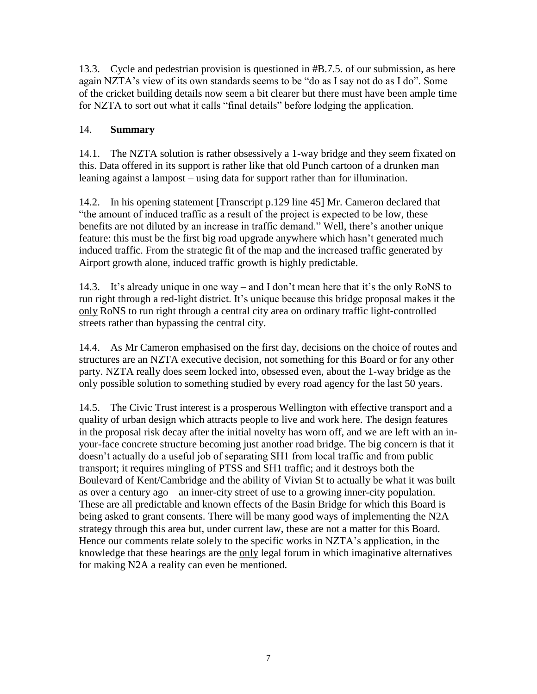13.3. Cycle and pedestrian provision is questioned in #B.7.5. of our submission, as here again NZTA's view of its own standards seems to be "do as I say not do as I do". Some of the cricket building details now seem a bit clearer but there must have been ample time for NZTA to sort out what it calls "final details" before lodging the application.

## 14. **Summary**

14.1. The NZTA solution is rather obsessively a 1-way bridge and they seem fixated on this. Data offered in its support is rather like that old Punch cartoon of a drunken man leaning against a lampost – using data for support rather than for illumination.

14.2. In his opening statement [Transcript p.129 line 45] Mr. Cameron declared that "the amount of induced traffic as a result of the project is expected to be low, these benefits are not diluted by an increase in traffic demand." Well, there's another unique feature: this must be the first big road upgrade anywhere which hasn't generated much induced traffic. From the strategic fit of the map and the increased traffic generated by Airport growth alone, induced traffic growth is highly predictable.

14.3. It's already unique in one way – and I don't mean here that it's the only RoNS to run right through a red-light district. It's unique because this bridge proposal makes it the only RoNS to run right through a central city area on ordinary traffic light-controlled streets rather than bypassing the central city.

14.4. As Mr Cameron emphasised on the first day, decisions on the choice of routes and structures are an NZTA executive decision, not something for this Board or for any other party. NZTA really does seem locked into, obsessed even, about the 1-way bridge as the only possible solution to something studied by every road agency for the last 50 years.

14.5. The Civic Trust interest is a prosperous Wellington with effective transport and a quality of urban design which attracts people to live and work here. The design features in the proposal risk decay after the initial novelty has worn off, and we are left with an inyour-face concrete structure becoming just another road bridge. The big concern is that it doesn't actually do a useful job of separating SH1 from local traffic and from public transport; it requires mingling of PTSS and SH1 traffic; and it destroys both the Boulevard of Kent/Cambridge and the ability of Vivian St to actually be what it was built as over a century ago – an inner-city street of use to a growing inner-city population. These are all predictable and known effects of the Basin Bridge for which this Board is being asked to grant consents. There will be many good ways of implementing the N2A strategy through this area but, under current law, these are not a matter for this Board. Hence our comments relate solely to the specific works in NZTA's application, in the knowledge that these hearings are the only legal forum in which imaginative alternatives for making N2A a reality can even be mentioned.